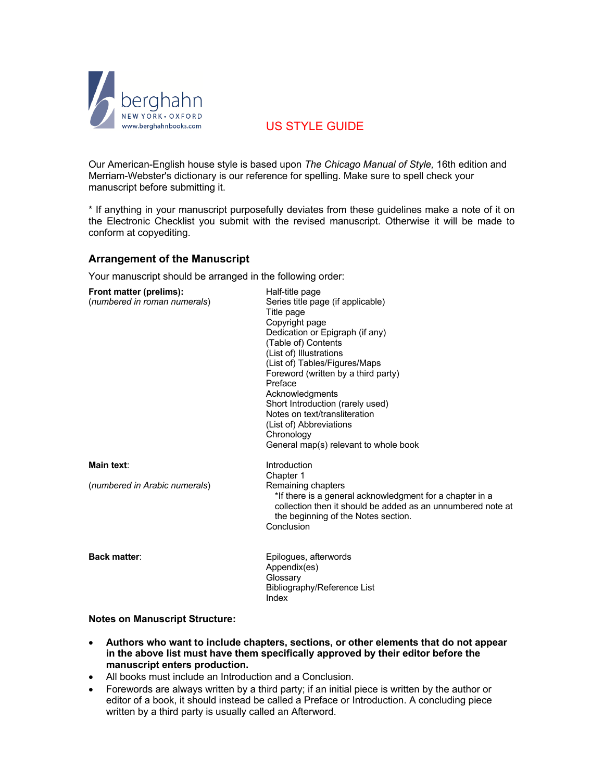

# US STYLE GUIDE

Our American-English house style is based upon *The Chicago Manual of Style,* 16th edition and Merriam-Webster's dictionary is our reference for spelling. Make sure to spell check your manuscript before submitting it.

\* If anything in your manuscript purposefully deviates from these guidelines make a note of it on the Electronic Checklist you submit with the revised manuscript. Otherwise it will be made to conform at copyediting.

### **Arrangement of the Manuscript**

Your manuscript should be arranged in the following order:

| Front matter (prelims):<br>(numbered in roman numerals) | Half-title page<br>Series title page (if applicable)<br>Title page<br>Copyright page<br>Dedication or Epigraph (if any)<br>(Table of) Contents<br>(List of) Illustrations<br>(List of) Tables/Figures/Maps<br>Foreword (written by a third party)<br>Preface<br>Acknowledgments<br>Short Introduction (rarely used)<br>Notes on text/transliteration<br>(List of) Abbreviations<br>Chronology |
|---------------------------------------------------------|-----------------------------------------------------------------------------------------------------------------------------------------------------------------------------------------------------------------------------------------------------------------------------------------------------------------------------------------------------------------------------------------------|
|                                                         | General map(s) relevant to whole book                                                                                                                                                                                                                                                                                                                                                         |
| Main text:                                              | Introduction<br>Chapter 1                                                                                                                                                                                                                                                                                                                                                                     |
| (numbered in Arabic numerals)                           | Remaining chapters<br>*If there is a general acknowledgment for a chapter in a<br>collection then it should be added as an unnumbered note at<br>the beginning of the Notes section.<br>Conclusion                                                                                                                                                                                            |
| <b>Back matter:</b>                                     | Epilogues, afterwords<br>Appendix(es)<br>Glossary<br>Bibliography/Reference List<br>Index                                                                                                                                                                                                                                                                                                     |

#### **Notes on Manuscript Structure:**

- **Authors who want to include chapters, sections, or other elements that do not appear in the above list must have them specifically approved by their editor before the manuscript enters production.**
- All books must include an Introduction and a Conclusion.
- Forewords are always written by a third party; if an initial piece is written by the author or editor of a book, it should instead be called a Preface or Introduction. A concluding piece written by a third party is usually called an Afterword.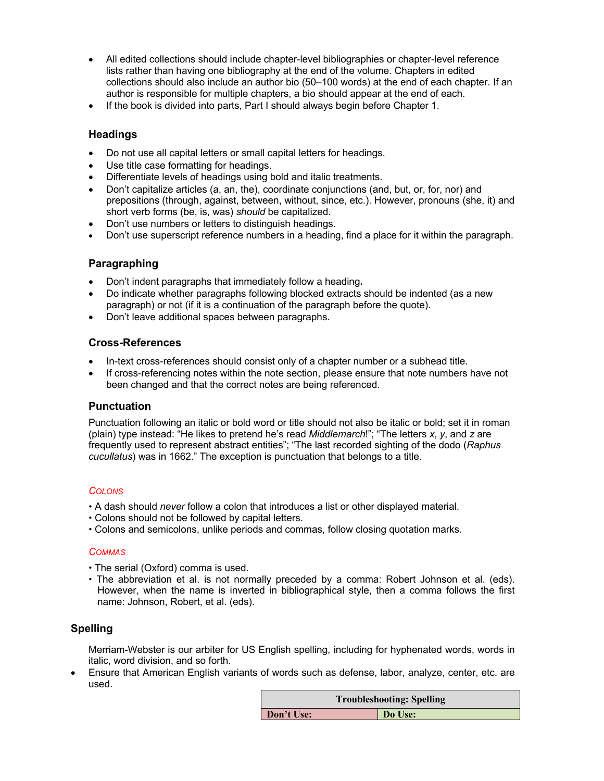- All edited collections should include chapter-level bibliographies or chapter-level reference lists rather than having one bibliography at the end of the volume. Chapters in edited collections should also include an author bio (50–100 words) at the end of each chapter. If an author is responsible for multiple chapters, a bio should appear at the end of each.
- If the book is divided into parts, Part I should always begin before Chapter 1.

# **Headings**

- Do not use all capital letters or small capital letters for headings.
- Use title case formatting for headings.
- Differentiate levels of headings using bold and italic treatments.
- Don't capitalize articles (a, an, the), coordinate conjunctions (and, but, or, for, nor) and prepositions (through, against, between, without, since, etc.). However, pronouns (she, it) and short verb forms (be, is, was) *should* be capitalized.
- Don't use numbers or letters to distinguish headings.
- Don't use superscript reference numbers in a heading, find a place for it within the paragraph.

# **Paragraphing**

- Don't indent paragraphs that immediately follow a heading**.**
- Do indicate whether paragraphs following blocked extracts should be indented (as a new paragraph) or not (if it is a continuation of the paragraph before the quote).
- Don't leave additional spaces between paragraphs.

### **Cross-References**

- In-text cross-references should consist only of a chapter number or a subhead title.
- If cross-referencing notes within the note section, please ensure that note numbers have not been changed and that the correct notes are being referenced.

### **Punctuation**

Punctuation following an italic or bold word or title should not also be italic or bold; set it in roman (plain) type instead: "He likes to pretend he's read *Middlemarch*!"; "The letters *x*, *y*, and *z* are frequently used to represent abstract entities"; "The last recorded sighting of the dodo (*Raphus cucullatus*) was in 1662." The exception is punctuation that belongs to a title.

#### *COLONS*

- A dash should *never* follow a colon that introduces a list or other displayed material.
- Colons should not be followed by capital letters.
- Colons and semicolons, unlike periods and commas, follow closing quotation marks.

### *COMMAS*

- The serial (Oxford) comma is used.
- The abbreviation et al. is not normally preceded by a comma: Robert Johnson et al. (eds). However, when the name is inverted in bibliographical style, then a comma follows the first name: Johnson, Robert, et al. (eds).

# **Spelling**

Merriam-Webster is our arbiter for US English spelling, including for hyphenated words, words in italic, word division, and so forth.

• Ensure that American English variants of words such as defense, labor, analyze, center, etc. are used.

| <b>Troubleshooting: Spelling</b> |         |  |
|----------------------------------|---------|--|
| Don't Use:                       | Do Use: |  |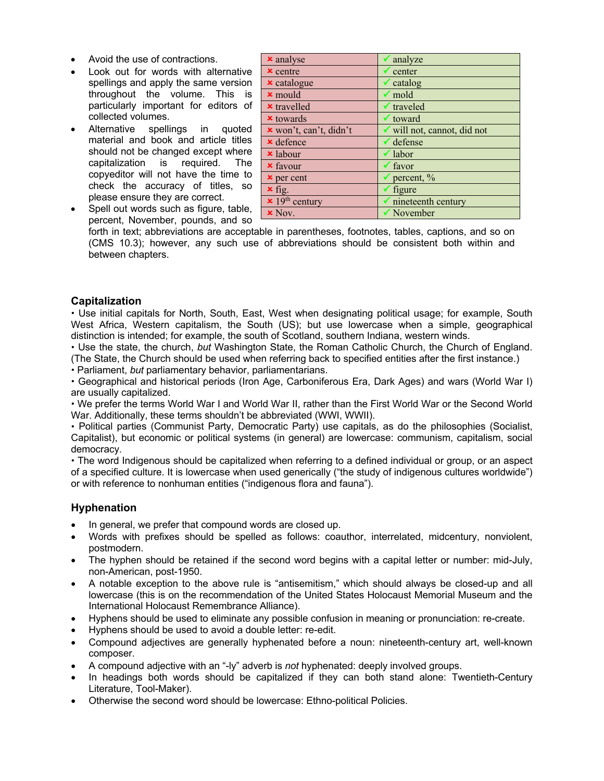- Avoid the use of contractions.
- Look out for words with alternative spellings and apply the same version throughout the volume. This is particularly important for editors of collected volumes.
- Alternative spellings in quoted material and book and article titles should not be changed except where capitalization is required. The copyeditor will not have the time to check the accuracy of titles, so please ensure they are correct.
- Spell out words such as figure, table, percent, November, pounds, and so

| <b>x</b> analyse         | $\checkmark$ analyze            |
|--------------------------|---------------------------------|
| $x$ centre               | $\checkmark$ center             |
| <b>x</b> catalogue       | $\checkmark$ catalog            |
| $\times$ mould           | $\checkmark$ mold               |
| <b>x</b> travelled       | $\checkmark$ traveled           |
| $\times$ towards         | $\checkmark$ toward             |
| x won't, can't, didn't   | v will not, cannot, did not     |
| $\times$ defence         | $\checkmark$ defense            |
| <b>x</b> labour          | $\checkmark$ labor              |
| <b>x</b> favour          | $\checkmark$ favor              |
| $\times$ per cent        | $\checkmark$ percent, %         |
| $\times$ fig.            | $\checkmark$ figure             |
| $\times 19^{th}$ century | $\checkmark$ nineteenth century |
| $x$ Nov.                 | $\checkmark$ November           |

forth in text; abbreviations are acceptable in parentheses, footnotes, tables, captions, and so on (CMS 10.3); however, any such use of abbreviations should be consistent both within and between chapters.

### **Capitalization**

 Use initial capitals for North, South, East, West when designating political usage; for example, South West Africa, Western capitalism, the South (US); but use lowercase when a simple, geographical distinction is intended; for example, the south of Scotland, southern Indiana, western winds.

 Use the state, the church, *but* Washington State, the Roman Catholic Church, the Church of England. (The State, the Church should be used when referring back to specified entities after the first instance.)

Parliament, *but* parliamentary behavior, parliamentarians.

 Geographical and historical periods (Iron Age, Carboniferous Era, Dark Ages) and wars (World War I) are usually capitalized.

 We prefer the terms World War I and World War II, rather than the First World War or the Second World War. Additionally, these terms shouldn't be abbreviated (WWI, WWII).

 Political parties (Communist Party, Democratic Party) use capitals, as do the philosophies (Socialist, Capitalist), but economic or political systems (in general) are lowercase: communism, capitalism, social democracy.

 The word Indigenous should be capitalized when referring to a defined individual or group, or an aspect of a specified culture. It is lowercase when used generically ("the study of indigenous cultures worldwide") or with reference to nonhuman entities ("indigenous flora and fauna").

### **Hyphenation**

- In general, we prefer that compound words are closed up.
- Words with prefixes should be spelled as follows: coauthor, interrelated, midcentury, nonviolent, postmodern.
- The hyphen should be retained if the second word begins with a capital letter or number: mid-July, non-American, post-1950.
- A notable exception to the above rule is "antisemitism," which should always be closed-up and all lowercase (this is on the recommendation of the United States Holocaust Memorial Museum and the International Holocaust Remembrance Alliance).
- Hyphens should be used to eliminate any possible confusion in meaning or pronunciation: re-create.
- Hyphens should be used to avoid a double letter: re-edit.
- Compound adjectives are generally hyphenated before a noun: nineteenth-century art, well-known composer.
- A compound adjective with an "-ly" adverb is *not* hyphenated: deeply involved groups.
- In headings both words should be capitalized if they can both stand alone: Twentieth-Century Literature, Tool-Maker).
- Otherwise the second word should be lowercase: Ethno-political Policies.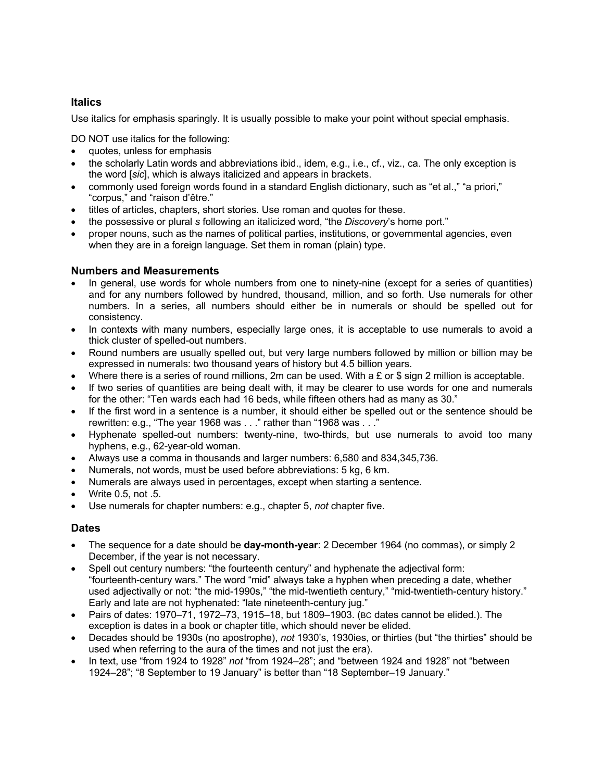# **Italics**

Use italics for emphasis sparingly. It is usually possible to make your point without special emphasis.

DO NOT use italics for the following:

- quotes, unless for emphasis
- the scholarly Latin words and abbreviations ibid., idem, e.g., i.e., cf., viz., ca. The only exception is the word [*sic*], which is always italicized and appears in brackets.
- commonly used foreign words found in a standard English dictionary, such as "et al.," "a priori," "corpus," and "raison d'être."
- titles of articles, chapters, short stories. Use roman and quotes for these.
- the possessive or plural *s* following an italicized word, "the *Discovery*'s home port."
- proper nouns, such as the names of political parties, institutions, or governmental agencies, even when they are in a foreign language. Set them in roman (plain) type.

### **Numbers and Measurements**

- In general, use words for whole numbers from one to ninety-nine (except for a series of quantities) and for any numbers followed by hundred, thousand, million, and so forth. Use numerals for other numbers. In a series, all numbers should either be in numerals or should be spelled out for consistency.
- In contexts with many numbers, especially large ones, it is acceptable to use numerals to avoid a thick cluster of spelled-out numbers.
- Round numbers are usually spelled out, but very large numbers followed by million or billion may be expressed in numerals: two thousand years of history but 4.5 billion years.
- Where there is a series of round millions, 2m can be used. With a  $\epsilon$  or \$ sign 2 million is acceptable.
- If two series of quantities are being dealt with, it may be clearer to use words for one and numerals for the other: "Ten wards each had 16 beds, while fifteen others had as many as 30."
- If the first word in a sentence is a number, it should either be spelled out or the sentence should be rewritten: e.g., "The year 1968 was . . ." rather than "1968 was . . ."
- Hyphenate spelled-out numbers: twenty-nine, two-thirds, but use numerals to avoid too many hyphens, e.g., 62-year-old woman.
- Always use a comma in thousands and larger numbers: 6,580 and 834,345,736.
- Numerals, not words, must be used before abbreviations: 5 kg, 6 km.
- Numerals are always used in percentages, except when starting a sentence.
- Write 0.5, not .5.
- Use numerals for chapter numbers: e.g., chapter 5, *not* chapter five.

### **Dates**

- The sequence for a date should be **day-month-year**: 2 December 1964 (no commas), or simply 2 December, if the year is not necessary.
- Spell out century numbers: "the fourteenth century" and hyphenate the adjectival form: "fourteenth-century wars." The word "mid" always take a hyphen when preceding a date, whether used adjectivally or not: "the mid-1990s," "the mid-twentieth century," "mid-twentieth-century history." Early and late are not hyphenated: "late nineteenth-century jug."
- Pairs of dates: 1970–71, 1972–73, 1915–18, but 1809–1903. (BC dates cannot be elided.). The exception is dates in a book or chapter title, which should never be elided.
- Decades should be 1930s (no apostrophe), *not* 1930's, 1930ies, or thirties (but "the thirties" should be used when referring to the aura of the times and not just the era).
- In text, use "from 1924 to 1928" *not* "from 1924–28"; and "between 1924 and 1928" not "between 1924–28"; "8 September to 19 January" is better than "18 September–19 January."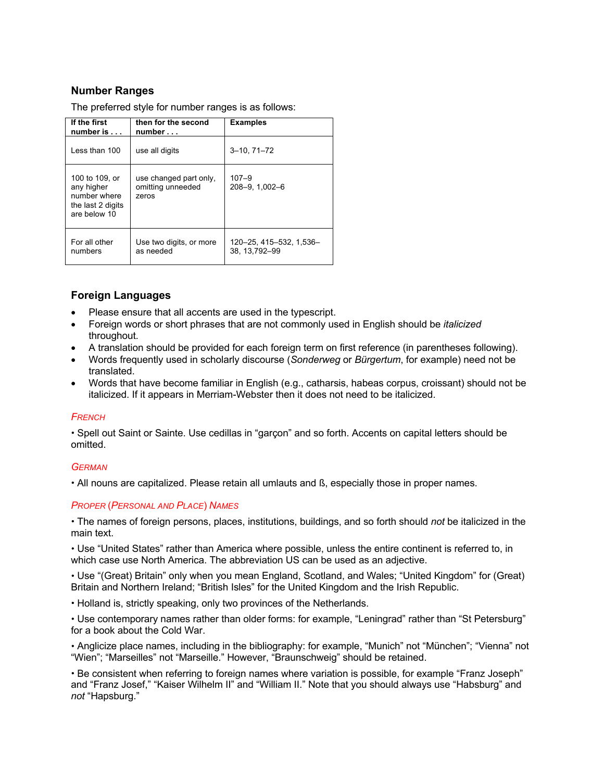# **Number Ranges**

The preferred style for number ranges is as follows:

| If the first<br>number is $\dots$                                                 | then for the second<br>number                        | <b>Examples</b>                         |
|-----------------------------------------------------------------------------------|------------------------------------------------------|-----------------------------------------|
| Less than 100                                                                     | use all digits                                       | $3 - 10, 71 - 72$                       |
| 100 to 109, or<br>any higher<br>number where<br>the last 2 digits<br>are below 10 | use changed part only,<br>omitting unneeded<br>zeros | $107 - 9$<br>208-9, 1,002-6             |
| For all other<br>numbers                                                          | Use two digits, or more<br>as needed                 | 120-25, 415-532, 1,536-<br>38.13.792-99 |

# **Foreign Languages**

- Please ensure that all accents are used in the typescript.
- Foreign words or short phrases that are not commonly used in English should be *italicized* throughout*.*
- A translation should be provided for each foreign term on first reference (in parentheses following).
- Words frequently used in scholarly discourse (*Sonderweg* or *Bürgertum*, for example) need not be translated.
- Words that have become familiar in English (e.g., catharsis, habeas corpus, croissant) should not be italicized. If it appears in Merriam-Webster then it does not need to be italicized.

### *FRENCH*

 Spell out Saint or Sainte. Use cedillas in "garçon" and so forth. Accents on capital letters should be omitted.

### *GERMAN*

All nouns are capitalized. Please retain all umlauts and ß, especially those in proper names.

#### *PROPER* (*PERSONAL AND PLACE*) *NAMES*

 The names of foreign persons, places, institutions, buildings, and so forth should *not* be italicized in the main text.

 Use "United States" rather than America where possible, unless the entire continent is referred to, in which case use North America. The abbreviation US can be used as an adjective.

 Use "(Great) Britain" only when you mean England, Scotland, and Wales; "United Kingdom" for (Great) Britain and Northern Ireland; "British Isles" for the United Kingdom and the Irish Republic.

Holland is, strictly speaking, only two provinces of the Netherlands.

 Use contemporary names rather than older forms: for example, "Leningrad" rather than "St Petersburg" for a book about the Cold War.

 Anglicize place names, including in the bibliography: for example, "Munich" not "München"; "Vienna" not "Wien"; "Marseilles" not "Marseille." However, "Braunschweig" should be retained.

 Be consistent when referring to foreign names where variation is possible, for example "Franz Joseph" and "Franz Josef," "Kaiser Wilhelm II" and "William II." Note that you should always use "Habsburg" and *not* "Hapsburg."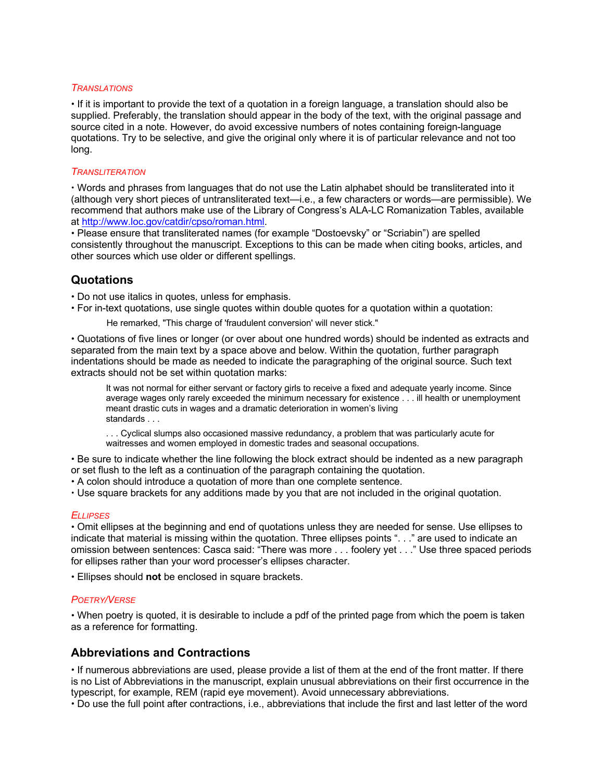#### *TRANSLATIONS*

 If it is important to provide the text of a quotation in a foreign language, a translation should also be supplied. Preferably, the translation should appear in the body of the text, with the original passage and source cited in a note. However, do avoid excessive numbers of notes containing foreign-language quotations. Try to be selective, and give the original only where it is of particular relevance and not too long.

#### *TRANSLITERATION*

 Words and phrases from languages that do not use the Latin alphabet should be transliterated into it (although very short pieces of untransliterated text—i.e., a few characters or words—are permissible). We recommend that authors make use of the Library of Congress's ALA-LC Romanization Tables, available at http://www.loc.gov/catdir/cpso/roman.html.

 Please ensure that transliterated names (for example "Dostoevsky" or "Scriabin") are spelled consistently throughout the manuscript. Exceptions to this can be made when citing books, articles, and other sources which use older or different spellings.

# **Quotations**

- Do not use italics in quotes, unless for emphasis.
- For in-text quotations, use single quotes within double quotes for a quotation within a quotation:
	- He remarked, "This charge of 'fraudulent conversion' will never stick."

 Quotations of five lines or longer (or over about one hundred words) should be indented as extracts and separated from the main text by a space above and below. Within the quotation, further paragraph indentations should be made as needed to indicate the paragraphing of the original source. Such text extracts should not be set within quotation marks:

It was not normal for either servant or factory girls to receive a fixed and adequate yearly income. Since average wages only rarely exceeded the minimum necessary for existence . . . ill health or unemployment meant drastic cuts in wages and a dramatic deterioration in women's living standards . . .

. . . Cyclical slumps also occasioned massive redundancy, a problem that was particularly acute for waitresses and women employed in domestic trades and seasonal occupations.

 Be sure to indicate whether the line following the block extract should be indented as a new paragraph or set flush to the left as a continuation of the paragraph containing the quotation.

A colon should introduce a quotation of more than one complete sentence.

Use square brackets for any additions made by you that are not included in the original quotation.

### *ELLIPSES*

 Omit ellipses at the beginning and end of quotations unless they are needed for sense. Use ellipses to indicate that material is missing within the quotation. Three ellipses points ". . ." are used to indicate an omission between sentences: Casca said: "There was more . . . foolery yet . . ." Use three spaced periods for ellipses rather than your word processer's ellipses character.

Ellipses should **not** be enclosed in square brackets.

#### *POETRY/VERSE*

 When poetry is quoted, it is desirable to include a pdf of the printed page from which the poem is taken as a reference for formatting.

### **Abbreviations and Contractions**

 If numerous abbreviations are used, please provide a list of them at the end of the front matter. If there is no List of Abbreviations in the manuscript, explain unusual abbreviations on their first occurrence in the typescript, for example, REM (rapid eye movement). Avoid unnecessary abbreviations.

Do use the full point after contractions, i.e., abbreviations that include the first and last letter of the word